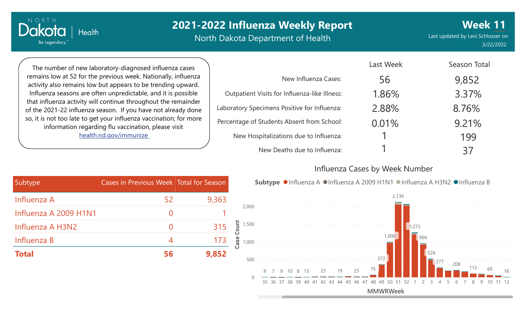North Dakota Department of Health

Last updated by Levi Schlosser on 3/22/2022

**Week 11**

The number of new laboratory-diagnosed influenza cases remains low at 52 for the previous week. Nationally, influenza activity also remains low but appears to be trending upward. Influenza seasons are often unpredictable, and it is possible that influenza activity will continue throughout the remainder of the 2021-22 influenza season. If you have not already done so, it is not too late to get your influenza vaccination; for more information regarding flu vaccination, please visit [health.nd.gov/immunize](http://health.nd.gov/immunize)

**Health** 

NORTH

Dakotc

Be Legendary.

|                                               | Last Week | Season Total |
|-----------------------------------------------|-----------|--------------|
| New Influenza Cases:                          | 56        | 9,852        |
| Outpatient Visits for Influenza-like Illness: | 1.86%     | 3.37%        |
| Laboratory Specimens Positive for Influenza:  | 2.88%     | 8.76%        |
| Percentage of Students Absent from School:    | 0.01%     | 9.21%        |
| New Hospitalizations due to Influenza:        |           | 199          |
| New Deaths due to Influenza:                  |           | 37           |

#### Influenza Cases by Week Number

| Subtype               | Cases in Previous Week Total for Season |       |
|-----------------------|-----------------------------------------|-------|
| Influenza A           | 52                                      | 9,363 |
| Influenza A 2009 H1N1 | 0                                       |       |
| Influenza A H3N2      | 0                                       | 315   |
| Influenza B           | 4                                       | 173   |
| <b>Total</b>          | 56                                      | 9,852 |

Subtype ●Influenza A ●Influenza A 2009 H1N1 ●Influenza A H3N2 ●Influenza B

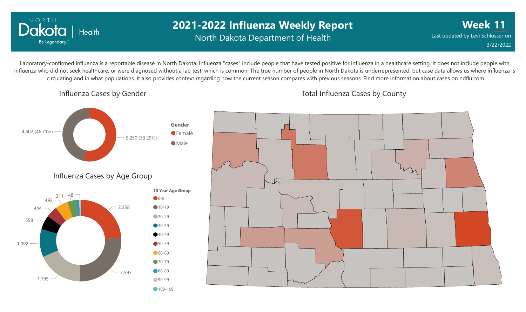

## **2021-2022 Influenza Weekly Report** North Dakota Department of Health

**Week 11** Last updated by Levi Schlosser on 3/22/2022

Laboratory-confirmed influenza is a reportable disease in North Dakota. Influenza "cases" include people that have tested positive for influenza in a healthcare setting. It does not include people with influenza who did not seek healthcare, or were diagnosed without a lab test, which is common. The true number of people in North Dakota is underrepresented, but case data allows us where influenza is circulating and in what populations. It also provides context regarding how the current season compares with previous seasons. Find more information about cases on ndflu.com

Influenza Cases by Gender

Total Influenza Cases by County

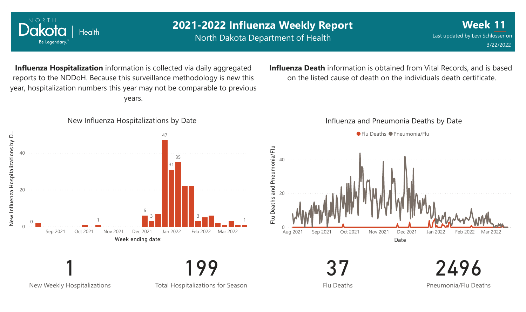

New Weekly Hospitalizations

Total Hospitalizations for Season

Flu Deaths

2496 Pneumonia/Flu Deaths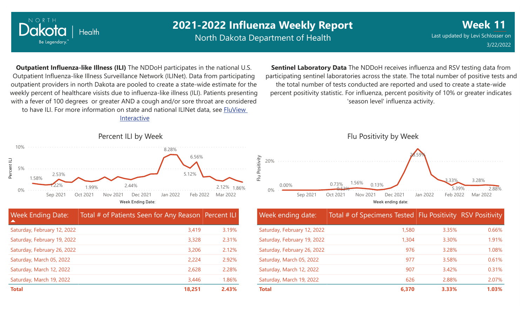

North Dakota Department of Health

**Week** Last updated by Levi Schlosser on **11** 3/22/2022

**Outpatient Influenza-like Illness (ILI)** The NDDoH participates in the national U.S. Outpatient Influenza-like Illness Surveillance Network (ILINet). Data from participating outpatient providers in north Dakota are pooled to create a state-wide estimate for the weekly percent of healthcare visists due to influenza-like illness (ILI). Patients presenting with a fever of 100 degrees or greater AND a cough and/or sore throat are considered to have ILI. For more information [on state and national ILINet data, see FluView](http://fluview%20interactive/)

Interactive



**Sentinel Laboratory Data** The NDDoH receives influenza and RSV testing data from participating sentinel laboratories across the state. The total number of positive tests and the total number of tests conducted are reported and used to create a state-wide percent positivity statistic. For influenza, percent positivity of 10% or greater indicates 'season level' influenza activity.



| Week ending date:           | Total # of Specimens Tested Flu Positivity RSV Positivity |       |       |
|-----------------------------|-----------------------------------------------------------|-------|-------|
| Saturday, February 12, 2022 | 1,580                                                     | 3.35% | 0.66% |
| Saturday, February 19, 2022 | 1,304                                                     | 3.30% | 1.91% |
| Saturday, February 26, 2022 | 976                                                       | 3.28% | 1.08% |
| Saturday, March 05, 2022    | 977                                                       | 3.58% | 0.61% |
| Saturday, March 12, 2022    | 907                                                       | 3.42% | 0.31% |
| Saturday, March 19, 2022    | 626                                                       | 2.88% | 2.07% |
| <b>Total</b>                | 6,370                                                     | 3.33% | 1.03% |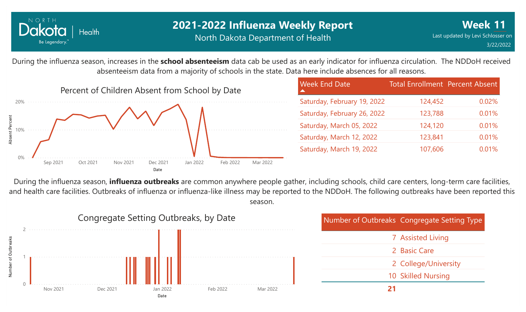

### **2021-2022 Influenza Weekly Report** North Dakota Department of Health

During the influenza season, increases in the **school absenteeism** data cab be used as an early indicator for influenza circulation. The NDDoH received absenteeism data from a majority of schools in the state. Data here include absences for all reasons.



| <b>Week End Date</b>        | <b>Total Enrollment Percent Absent</b> |       |
|-----------------------------|----------------------------------------|-------|
| Saturday, February 19, 2022 | 124,452                                | 0.02% |
| Saturday, February 26, 2022 | 123,788                                | 0.01% |
| Saturday, March 05, 2022    | 124,120                                | 0.01% |
| Saturday, March 12, 2022    | 123,841                                | 0.01% |
| Saturday, March 19, 2022    | 107,606                                | 0.01% |

During the influenza season, **influenza outbreaks** are common anywhere people gather, including schools, child care centers, long-term care facilities, and health care facilities. Outbreaks of influenza or influenza-like illness may be reported to the NDDoH. The following outbreaks have been reported this season.

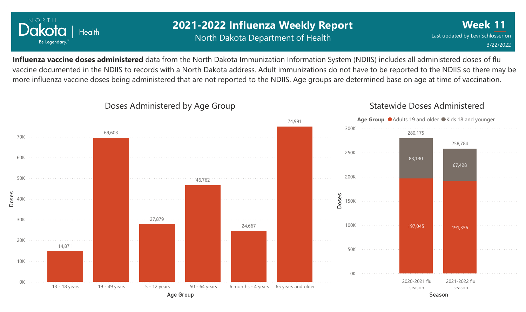

## **2021-2022 Influenza Weekly Report** North Dakota Department of Health

**Week 11** Last updated by Levi Schlosser on 3/22/2022

**Influenza vaccine doses administered** data from the North Dakota Immunization Information System (NDIIS) includes all administered doses of flu vaccine documented in the NDIIS to records with a North Dakota address. Adult immunizations do not have to be reported to the NDIIS so there may be more influenza vaccine doses being administered that are not reported to the NDIIS. Age groups are determined base on age at time of vaccination.



#### Doses Administered by Age Group

### Statewide Doses Administered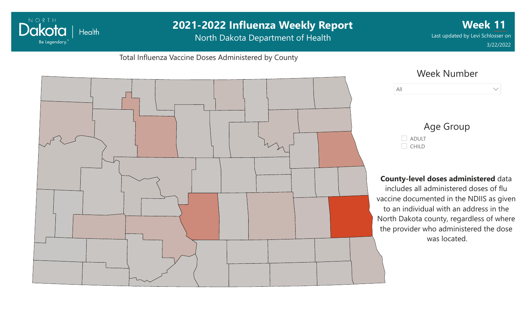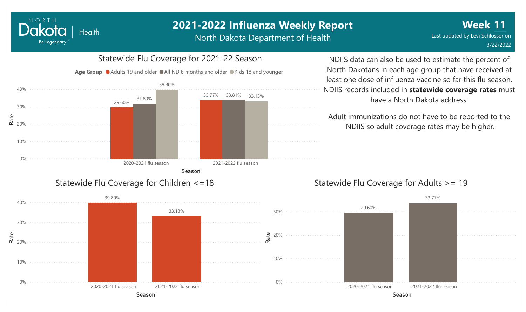North Dakota Department of Health



NORTH

Dakota

Be Legendary.

**Health** 

#### NDIIS data can also be used to estimate the percent of North Dakotans in each age group that have received at least one dose of influenza vaccine so far this flu season. NDIIS records included in **statewide coverage rates** must have a North Dakota address.

Adult immunizations do not have to be reported to the NDIIS so adult coverage rates may be higher.

#### Statewide Flu Coverage for Adults >= 19